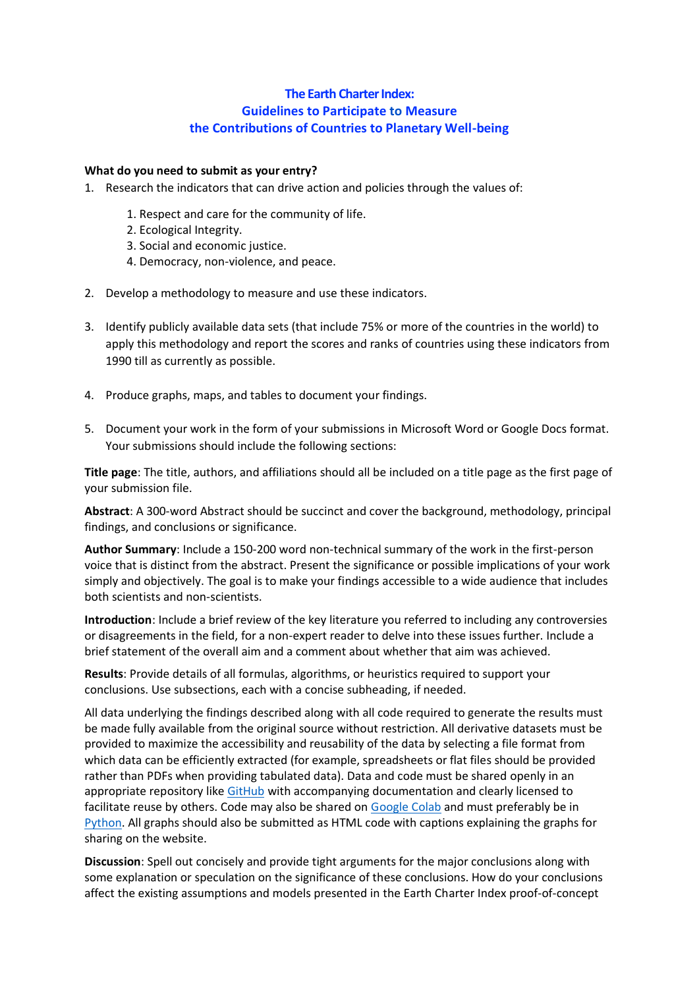# **The Earth Charter Index: Guidelines to Participate to Measure the Contributions of Countries to Planetary Well-being**

## **What do you need to submit as your entry?**

- 1. Research the indicators that can drive action and policies through the values of:
	- 1. Respect and care for the community of life.
	- 2. Ecological Integrity.
	- 3. Social and economic justice.
	- 4. Democracy, non-violence, and peace.
- 2. Develop a methodology to measure and use these indicators.
- 3. Identify publicly available data sets (that include 75% or more of the countries in the world) to apply this methodology and report the scores and ranks of countries using these indicators from 1990 till as currently as possible.
- 4. Produce graphs, maps, and tables to document your findings.
- 5. Document your work in the form of your submissions in Microsoft Word or Google Docs format. Your submissions should include the following sections:

**Title page**: The title, authors, and affiliations should all be included on a title page as the first page of your submission file.

**Abstract**: A 300-word Abstract should be succinct and cover the background, methodology, principal findings, and conclusions or significance.

**Author Summary**: Include a 150-200 word non-technical summary of the work in the first-person voice that is distinct from the abstract. Present the significance or possible implications of your work simply and objectively. The goal is to make your findings accessible to a wide audience that includes both scientists and non-scientists.

**Introduction**: Include a brief review of the key literature you referred to including any controversies or disagreements in the field, for a non-expert reader to delve into these issues further. Include a brief statement of the overall aim and a comment about whether that aim was achieved.

**Results**: Provide details of all formulas, algorithms, or heuristics required to support your conclusions. Use subsections, each with a concise subheading, if needed.

All data underlying the findings described along with all code required to generate the results must be made fully available from the original source without restriction. All derivative datasets must be provided to maximize the accessibility and reusability of the data by selecting a file format from which data can be efficiently extracted (for example, spreadsheets or flat files should be provided rather than PDFs when providing tabulated data). Data and code must be shared openly in an appropriate repository like [GitHub](https://github.com/) with accompanying documentation and clearly licensed to facilitate reuse by others. Code may also be shared on [Google Colab](https://colab.research.google.com/) and must preferably be in [Python.](https://www.python.org/) All graphs should also be submitted as HTML code with captions explaining the graphs for sharing on the website.

**Discussion**: Spell out concisely and provide tight arguments for the major conclusions along with some explanation or speculation on the significance of these conclusions. How do your conclusions affect the existing assumptions and models presented in the Earth Charter Index proof-of-concept